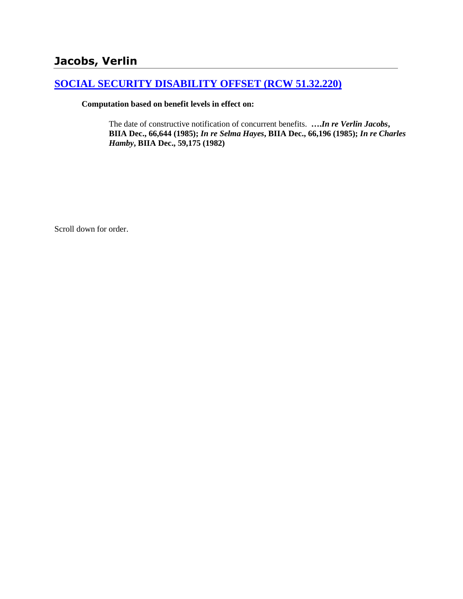# **Jacobs, Verlin**

## **[SOCIAL SECURITY DISABILITY OFFSET \(RCW 51.32.220\)](http://www.biia.wa.gov/SDSubjectIndex.html#SOCIAL_SECURITY_DISABILITY_OFFSET)**

## **Computation based on benefit levels in effect on:**

The date of constructive notification of concurrent benefits. **….***In re Verlin Jacobs***, BIIA Dec., 66,644 (1985);** *In re Selma Hayes***, BIIA Dec., 66,196 (1985);** *In re Charles Hamby***, BIIA Dec., 59,175 (1982)**

Scroll down for order.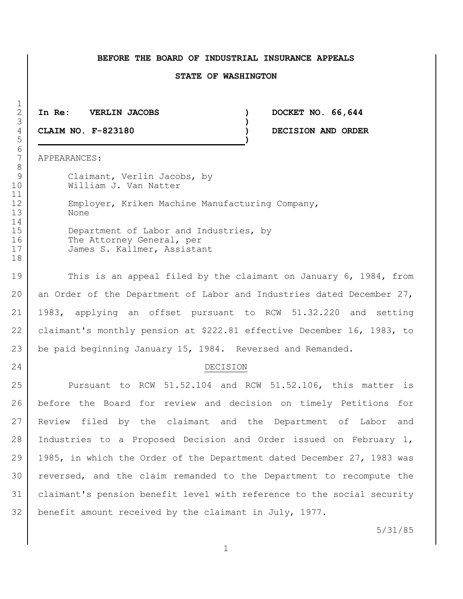#### **BEFORE THE BOARD OF INDUSTRIAL INSURANCE APPEALS**

#### **STATE OF WASHINGTON**

**In Re: VERLIN JACOBS ) DOCKET NO. 66,644**

 **CLAIM NO. F-823180 ) DECISION AND ORDER )**

APPEARANCES:

9 Claimant, Verlin Jacobs, by William J. Van Natter 12 Employer, Kriken Machine Manufacturing Company, None 15 Department of Labor and Industries, by 16 The Attorney General, per James S. Kallmer, Assistant

19 This is an appeal filed by the claimant on January 6, 1984, from 20 an Order of the Department of Labor and Industries dated December 27, 1983, applying an offset pursuant to RCW 51.32.220 and setting claimant's monthly pension at \$222.81 effective December 16, 1983, to 23 be paid beginning January 15, 1984. Reversed and Remanded.

### 24 DECISION

 Pursuant to RCW 51.52.104 and RCW 51.52.106, this matter is before the Board for review and decision on timely Petitions for Review filed by the claimant and the Department of Labor and 28 | Industries to a Proposed Decision and Order issued on February 1, 1985, in which the Order of the Department dated December 27, 1983 was reversed, and the claim remanded to the Department to recompute the claimant's pension benefit level with reference to the social security benefit amount received by the claimant in July, 1977.

5/31/85

 $\frac{1}{2}$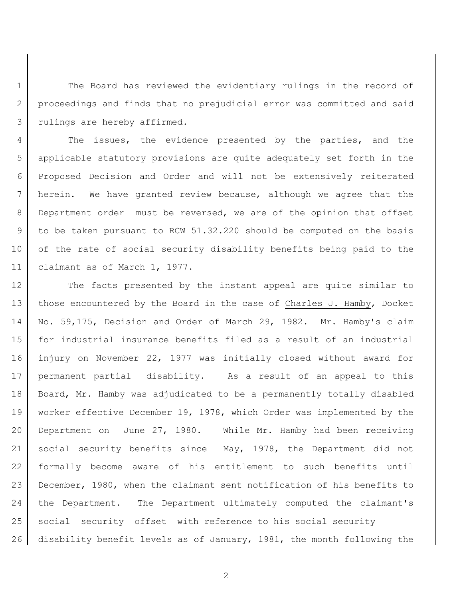1 The Board has reviewed the evidentiary rulings in the record of 2 proceedings and finds that no prejudicial error was committed and said 3 rulings are hereby affirmed.

4 The issues, the evidence presented by the parties, and the applicable statutory provisions are quite adequately set forth in the Proposed Decision and Order and will not be extensively reiterated herein. We have granted review because, although we agree that the 8 Department order must be reversed, we are of the opinion that offset to be taken pursuant to RCW 51.32.220 should be computed on the basis 10 of the rate of social security disability benefits being paid to the claimant as of March 1, 1977.

12 The facts presented by the instant appeal are quite similar to 13 those encountered by the Board in the case of Charles J. Hamby, Docket 14 No. 59,175, Decision and Order of March 29, 1982. Mr. Hamby's claim 15 for industrial insurance benefits filed as a result of an industrial 16 injury on November 22, 1977 was initially closed without award for 17 | permanent partial disability. As a result of an appeal to this 18 Board, Mr. Hamby was adjudicated to be a permanently totally disabled 19 worker effective December 19, 1978, which Order was implemented by the 20 Department on June 27, 1980. While Mr. Hamby had been receiving 21 social security benefits since May, 1978, the Department did not 22 formally become aware of his entitlement to such benefits until 23 December, 1980, when the claimant sent notification of his benefits to 24 the Department. The Department ultimately computed the claimant's 25 social security offset with reference to his social security 26 disability benefit levels as of January, 1981, the month following the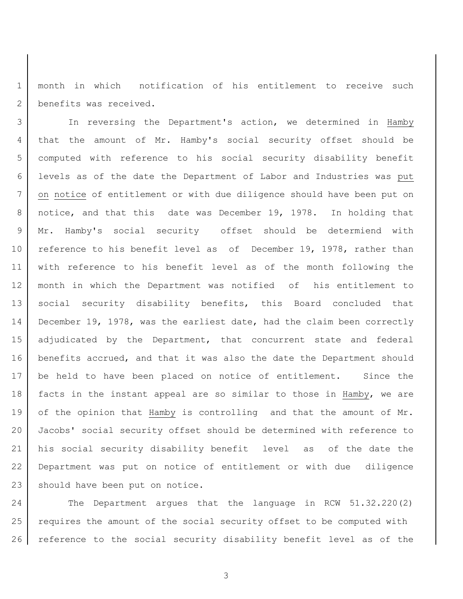month in which notification of his entitlement to receive such 2 benefits was received.

 In reversing the Department's action, we determined in Hamby that the amount of Mr. Hamby's social security offset should be computed with reference to his social security disability benefit levels as of the date the Department of Labor and Industries was put on notice of entitlement or with due diligence should have been put on notice, and that this date was December 19, 1978. In holding that Mr. Hamby's social security offset should be determiend with 10 reference to his benefit level as of December 19, 1978, rather than with reference to his benefit level as of the month following the month in which the Department was notified of his entitlement to social security disability benefits, this Board concluded that December 19, 1978, was the earliest date, had the claim been correctly adjudicated by the Department, that concurrent state and federal 16 | benefits accrued, and that it was also the date the Department should be held to have been placed on notice of entitlement. Since the 18 | facts in the instant appeal are so similar to those in Hamby, we are 19 of the opinion that Hamby is controlling and that the amount of Mr. Jacobs' social security offset should be determined with reference to his social security disability benefit level as of the date the Department was put on notice of entitlement or with due diligence 23 should have been put on notice.

24 The Department argues that the language in RCW 51.32.220(2) requires the amount of the social security offset to be computed with reference to the social security disability benefit level as of the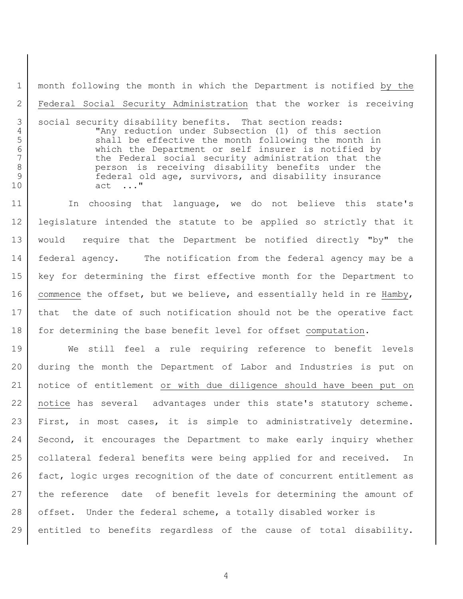month following the month in which the Department is notified by the Federal Social Security Administration that the worker is receiving

3 social security disability benefits. That section reads: "Any reduction under Subsection (1) of this section 5 Shall be effective the month following the month in 6 which the Department or self insurer is notified by<br>7 bhe Federal social security administration that the the Federal social security administration that the person is receiving disability benefits under the federal old age, survivors, and disability insurance act ..."

11 | In choosing that language, we do not believe this state's legislature intended the statute to be applied so strictly that it would require that the Department be notified directly "by" the 14 | federal agency. The notification from the federal agency may be a key for determining the first effective month for the Department to 16 commence the offset, but we believe, and essentially held in re Hamby, that the date of such notification should not be the operative fact 18 for determining the base benefit level for offset computation.

 We still feel a rule requiring reference to benefit levels during the month the Department of Labor and Industries is put on notice of entitlement or with due diligence should have been put on notice has several advantages under this state's statutory scheme. First, in most cases, it is simple to administratively determine. Second, it encourages the Department to make early inquiry whether 25 | collateral federal benefits were being applied for and received. In fact, logic urges recognition of the date of concurrent entitlement as the reference date of benefit levels for determining the amount of 28 offset. Under the federal scheme, a totally disabled worker is entitled to benefits regardless of the cause of total disability.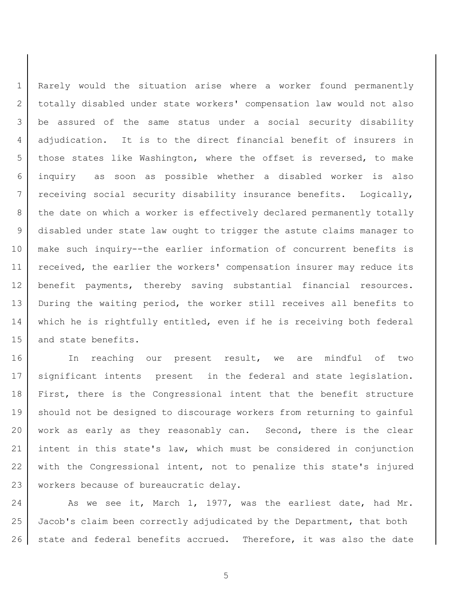Rarely would the situation arise where a worker found permanently totally disabled under state workers' compensation law would not also be assured of the same status under a social security disability adjudication. It is to the direct financial benefit of insurers in 5 those states like Washington, where the offset is reversed, to make inquiry as soon as possible whether a disabled worker is also receiving social security disability insurance benefits. Logically, 8 | the date on which a worker is effectively declared permanently totally disabled under state law ought to trigger the astute claims manager to make such inquiry--the earlier information of concurrent benefits is received, the earlier the workers' compensation insurer may reduce its benefit payments, thereby saving substantial financial resources. During the waiting period, the worker still receives all benefits to which he is rightfully entitled, even if he is receiving both federal and state benefits.

16 In reaching our present result, we are mindful of two significant intents present in the federal and state legislation. First, there is the Congressional intent that the benefit structure should not be designed to discourage workers from returning to gainful work as early as they reasonably can. Second, there is the clear intent in this state's law, which must be considered in conjunction 22 with the Congressional intent, not to penalize this state's injured 23 | workers because of bureaucratic delay.

24 As we see it, March 1, 1977, was the earliest date, had Mr. Jacob's claim been correctly adjudicated by the Department, that both 26 state and federal benefits accrued. Therefore, it was also the date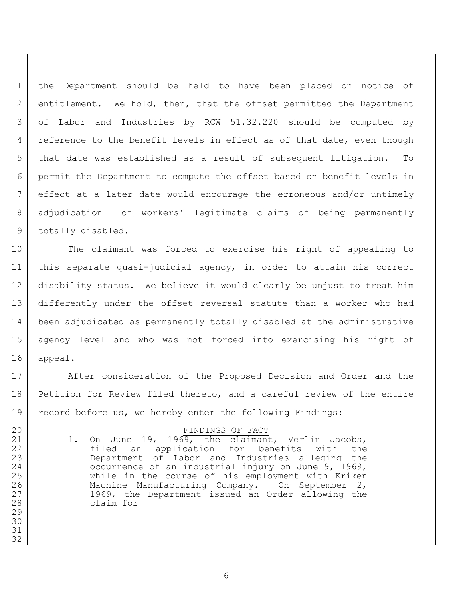the Department should be held to have been placed on notice of entitlement. We hold, then, that the offset permitted the Department of Labor and Industries by RCW 51.32.220 should be computed by 4 | reference to the benefit levels in effect as of that date, even though that date was established as a result of subsequent litigation. To permit the Department to compute the offset based on benefit levels in effect at a later date would encourage the erroneous and/or untimely adjudication of workers' legitimate claims of being permanently 9 totally disabled.

10 The claimant was forced to exercise his right of appealing to this separate quasi-judicial agency, in order to attain his correct disability status. We believe it would clearly be unjust to treat him differently under the offset reversal statute than a worker who had been adjudicated as permanently totally disabled at the administrative agency level and who was not forced into exercising his right of appeal.

17 After consideration of the Proposed Decision and Order and the Petition for Review filed thereto, and a careful review of the entire record before us, we hereby enter the following Findings:

#### 20 FINDINGS OF FACT

21 | 1. On June 19, 1969, the claimant, Verlin Jacobs, filed an application for benefits with the Department of Labor and Industries alleging the 24 | Cocurrence of an industrial injury on June 9, 1969, while in the course of his employment with Kriken 26 | Machine Manufacturing Company. On September 2, 1969, the Department issued an Order allowing the claim for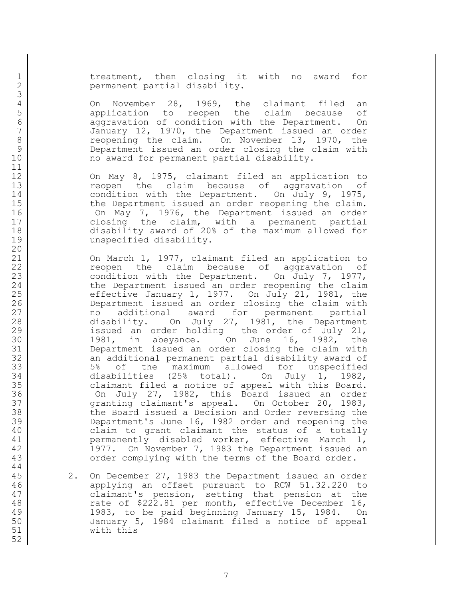1 1 treatment, then closing it with no award for 2 permanent partial disability.

4 On November 28, 1969, the claimant filed an<br>5 application to reopen the claim because of 5 5 3 5 application to reopen the claim because of<br>6 3 aggravation of condition with the Department. On 6 aggravation of condition with the Department. On<br>7 January 12, 1970, the Department issued an order January 12, 1970, the Department issued an order 8 reopening the claim. On November 13, 1970, the 9 Department issued an order closing the claim with 10 | mo award for permanent partial disability.

12 On May 8, 1975, claimant filed an application to 13 **13** reopen the claim because of aggravation of 14 condition with the Department. On July 9, 1975, 15 | the Department issued an order reopening the claim. 16 On May 7, 1976, the Department issued an order 17 closing the claim, with a permanent partial 18 disability award of 20% of the maximum allowed for 19 unspecified disability.

21 On March 1, 1977, claimant filed an application to 22 reopen the claim because of aggravation of 23 condition with the Department. On July 7, 1977, 24 the Department issued an order reopening the claim 25  $\vert$  effective January 1, 1977. On July 21, 1981, the 26 Department issued an order closing the claim with 27 no additional award for permanent partial 28 disability. On July 27, 1981, the Department 29 issued an order holding the order of July 21, 30 1981, in abeyance. On June 16, 1982, the 31 Department issued an order closing the claim with 32 an additional permanent partial disability award of 33 | 5% of the maximum allowed for unspecified 34 disabilities (25% total). On July 1, 1982, 35 claimant filed a notice of appeal with this Board. 36 On July 27, 1982, this Board issued an order 37 granting claimant's appeal. On October 20, 1983, 38 the Board issued a Decision and Order reversing the 39 Department's June 16, 1982 order and reopening the 40 claim to grant claimant the status of a totally 41 | permanently disabled worker, effective March 1, 42 1977. On November 7, 1983 the Department issued an 43 order complying with the terms of the Board order.

 2. On December 27, 1983 the Department issued an order applying an offset pursuant to RCW 51.32.220 to claimant's pension, setting that pension at the 48 Tate of \$222.81 per month, effective December 16, 1983, to be paid beginning January 15, 1984. On January 5, 1984 claimant filed a notice of appeal with this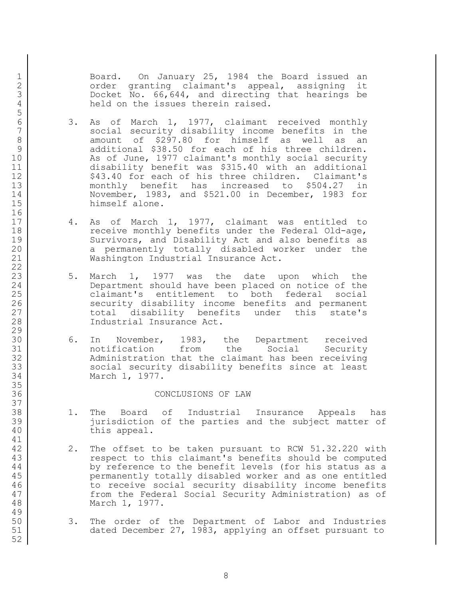1 Board. On January 25, 1984 the Board issued an 2 | Carder granting claimant's appeal, assigning it Docket No. 66,644, and directing that hearings be 4 held on the issues therein raised.

- 6 3. As of March 1, 1977, claimant received monthly<br>7 social security disability income benefits in the social security disability income benefits in the 8 amount of \$297.80 for himself as well as an 9 additional \$38.50 for each of his three children. 10 As of June, 1977 claimant's monthly social security disability benefit was \$315.40 with an additional 12 | \$43.40 for each of his three children. Claimant's monthly benefit has increased to \$504.27 in November, 1983, and \$521.00 in December, 1983 for himself alone.
- 4. As of March 1, 1977, claimant was entitled to 18 receive monthly benefits under the Federal Old-age, Survivors, and Disability Act and also benefits as 20 a permanently totally disabled worker under the Washington Industrial Insurance Act.
- 23 | 5. March 1, 1977 was the date upon which the Department should have been placed on notice of the claimant's entitlement to both federal social 26 security disability income benefits and permanent 27 total disability benefits under this state's Industrial Insurance Act.
- 6. In November, 1983, the Department received notification from the Social Security 32 Administration that the claimant has been receiving 33 social security disability benefits since at least March 1, 1977.

#### CONCLUSIONS OF LAW

- 1. The Board of Industrial Insurance Appeals has jurisdiction of the parties and the subject matter of this appeal.
- 42 2. The offset to be taken pursuant to RCW 51.32.220 with 43 | The respect to this claimant's benefits should be computed 44 by reference to the benefit levels (for his status as a permanently totally disabled worker and as one entitled 46 to receive social security disability income benefits 47 from the Federal Social Security Administration) as of March 1, 1977.
- 3. The order of the Department of Labor and Industries dated December 27, 1983, applying an offset pursuant to